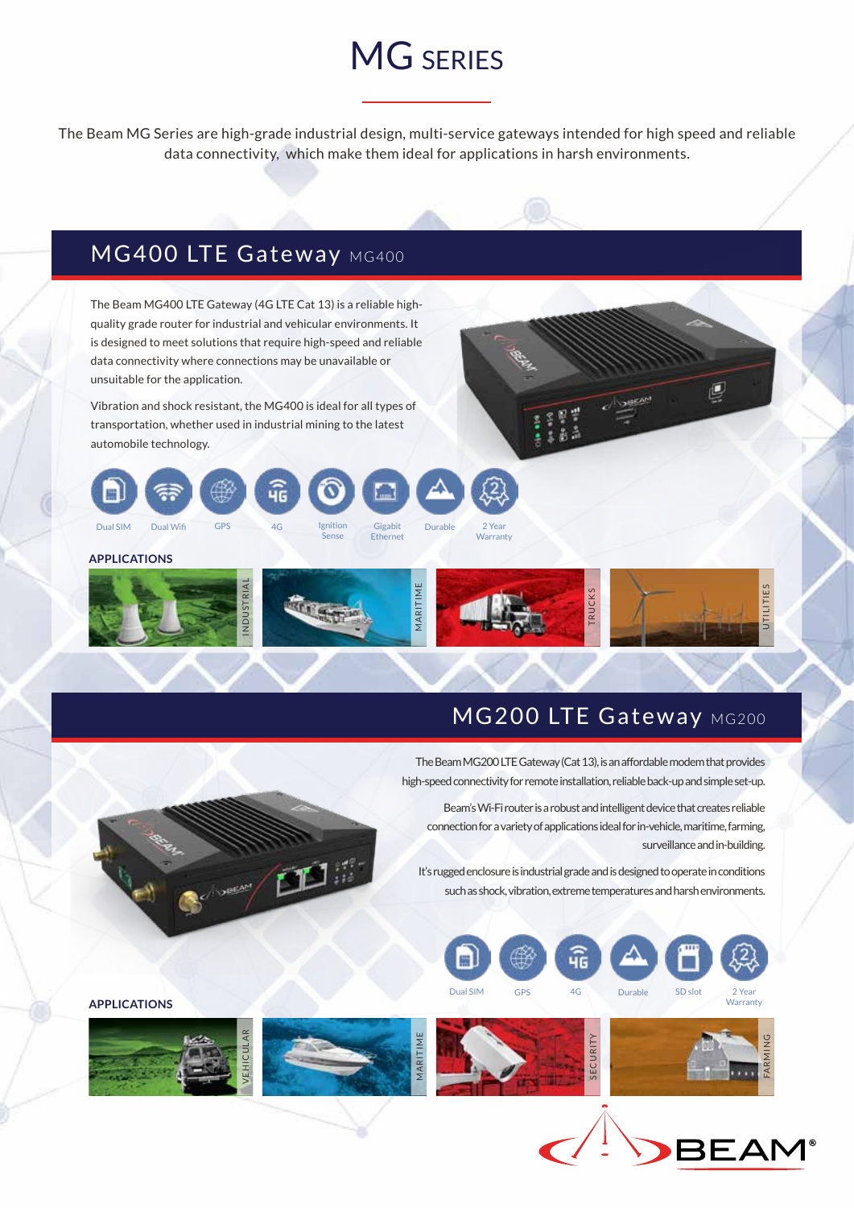## MG SERIES

The Beam MG Series are high-grade industrial design, multi-service gateways intended for high speed and reliable data connectivity, which make them ideal for applications in harsh environments.

## MG400 LTE Gateway MG400

The Beam MG400 LTE Gateway (4G LTE Cat 13) is a reliable highquality grade router for industrial and vehicular environments. It is designed to meet solutions that require high-speed and reliable data connectivity where connections may be unavailable or unsuitable for the application.

Vibration and shock resistant, the MG400 is ideal for all types of transportation, whether used in industrial mining to the latest automobile technology.



Sense

**APPLICATIONS**



**Warranty** 

## MG200 LTE Gateway MG200

g

 The Beam MG200 LTE Gateway (Cat 13), is an affordable modem that provides high-speed connectivity for remote installation, reliable back-up and simple set-up.

Beam's Wi-Fi router is a robust and intelligent device that creates reliable connection for a variety of applications ideal for in-vehicle, maritime, farming, surveillance and in-building.

It's rugged enclosure is industrial grade and is designed to operate in conditions such as shock, vibration, extreme temperatures and harsh environments.







pp